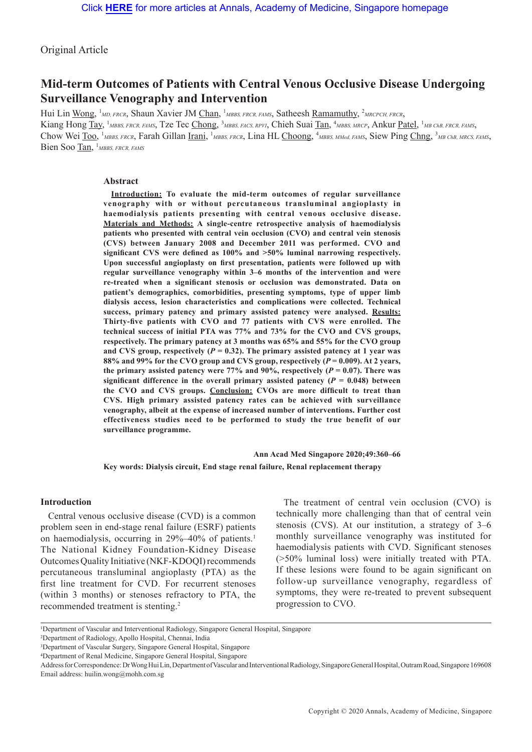Original Article

# **Mid-term Outcomes of Patients with Central Venous Occlusive Disease Undergoing Surveillance Venography and Intervention**

Hui Lin Wong, <sup>1</sup>MD, FRCR, Shaun Xavier JM Chan, <sup>1</sup>MBBS, FRCR, FAMS, Satheesh Ramamuthy, <sup>2</sup>MRCPCH, FRCR, Kiang Hong Tay, <sup>1</sup>MBBS, FRCR, FAMS, Tze Tec Chong, <sup>3</sup>MBBS, FACS, RPVI, Chieh Suai Tan, <sup>4</sup>MBBS, MRCP, Ankur Patel, <sup>1</sup>MB ChB, FRCR, FAMS, Chow Wei Too, <sup>1</sup>MBBS, FRCR, Farah Gillan Irani, <sup>1</sup>MBBS, FRCR, Lina HL Choong, <sup>4</sup>MBBS, MMed, FAMS, Siew Ping Chng, <sup>3</sup>MB ChB, MRCS, FAMS, Bien Soo Tan, <sup>1</sup>MBBS, FRCR, FAMS

#### **Abstract**

**Introduction: To evaluate the mid-term outcomes of regular surveillance venography with or without percutaneous transluminal angioplasty in haemodialysis patients presenting with central venous occlusive disease. Materials and Methods: A single-centre retrospective analysis of haemodialysis patients who presented with central vein occlusion (CVO) and central vein stenosis (CVS) between January 2008 and December 2011 was performed. CVO and significant CVS were defined as 100% and >50% luminal narrowing respectively. Upon successful angioplasty on first presentation, patients were followed up with regular surveillance venography within 3–6 months of the intervention and were re-treated when a significant stenosis or occlusion was demonstrated. Data on patient's demographics, comorbidities, presenting symptoms, type of upper limb dialysis access, lesion characteristics and complications were collected. Technical success, primary patency and primary assisted patency were analysed. Results: Thirty-five patients with CVO and 77 patients with CVS were enrolled. The technical success of initial PTA was 77% and 73% for the CVO and CVS groups, respectively. The primary patency at 3 months was 65% and 55% for the CVO group**  and CVS group, respectively ( $P = 0.32$ ). The primary assisted patency at 1 year was **88% and 99% for the CVO group and CVS group, respectively (***P* **= 0.009). At 2 years,**  the primary assisted patency were 77% and 90%, respectively  $(P = 0.07)$ . There was significant difference in the overall primary assisted patency  $(P = 0.048)$  between **the CVO and CVS groups. Conclusion: CVOs are more difficult to treat than CVS. High primary assisted patency rates can be achieved with surveillance venography, albeit at the expense of increased number of interventions. Further cost effectiveness studies need to be performed to study the true benefit of our surveillance programme.**

**Ann Acad Med Singapore 2020;49:360–66 Key words: Dialysis circuit, End stage renal failure, Renal replacement therapy**

#### **Introduction**

Central venous occlusive disease (CVD) is a common problem seen in end-stage renal failure (ESRF) patients on haemodialysis, occurring in 29%–40% of patients.<sup>1</sup> The National Kidney Foundation-Kidney Disease Outcomes Quality Initiative (NKF-KDOQI) recommends percutaneous transluminal angioplasty (PTA) as the first line treatment for CVD. For recurrent stenoses (within 3 months) or stenoses refractory to PTA, the recommended treatment is stenting.<sup>2</sup>

The treatment of central vein occlusion (CVO) is technically more challenging than that of central vein stenosis (CVS). At our institution, a strategy of 3–6 monthly surveillance venography was instituted for haemodialysis patients with CVD. Significant stenoses (>50% luminal loss) were initially treated with PTA. If these lesions were found to be again significant on follow-up surveillance venography, regardless of symptoms, they were re-treated to prevent subsequent progression to CVO.

2 Department of Radiology, Apollo Hospital, Chennai, India

<sup>1</sup> Department of Vascular and Interventional Radiology, Singapore General Hospital, Singapore

<sup>3</sup> Department of Vascular Surgery, Singapore General Hospital, Singapore

<sup>4</sup> Department of Renal Medicine, Singapore General Hospital, Singapore

Address for Correspondence: Dr Wong Hui Lin, Department of Vascular and Interventional Radiology, Singapore General Hospital, Outram Road, Singapore 169608 Email address: huilin.wong@mohh.com.sg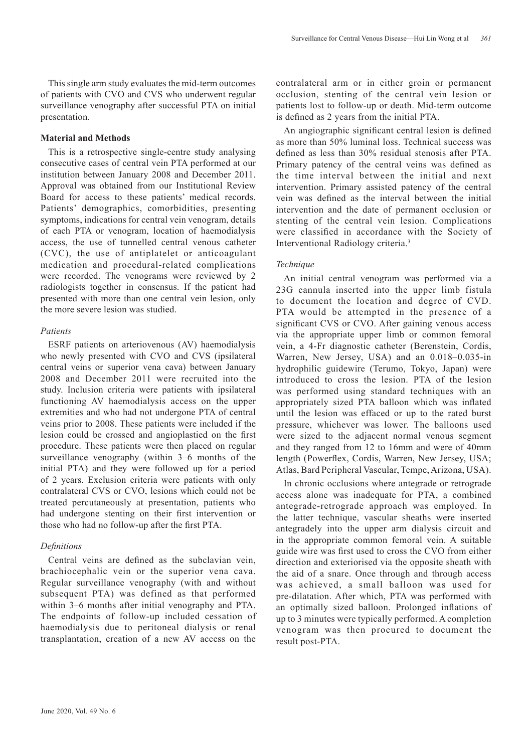This single arm study evaluates the mid-term outcomes of patients with CVO and CVS who underwent regular surveillance venography after successful PTA on initial presentation.

### **Material and Methods**

This is a retrospective single-centre study analysing consecutive cases of central vein PTA performed at our institution between January 2008 and December 2011. Approval was obtained from our Institutional Review Board for access to these patients' medical records. Patients' demographics, comorbidities, presenting symptoms, indications for central vein venogram, details of each PTA or venogram, location of haemodialysis access, the use of tunnelled central venous catheter (CVC), the use of antiplatelet or anticoagulant medication and procedural-related complications were recorded. The venograms were reviewed by 2 radiologists together in consensus. If the patient had presented with more than one central vein lesion, only the more severe lesion was studied.

### *Patients*

ESRF patients on arteriovenous (AV) haemodialysis who newly presented with CVO and CVS (ipsilateral central veins or superior vena cava) between January 2008 and December 2011 were recruited into the study. Inclusion criteria were patients with ipsilateral functioning AV haemodialysis access on the upper extremities and who had not undergone PTA of central veins prior to 2008. These patients were included if the lesion could be crossed and angioplastied on the first procedure. These patients were then placed on regular surveillance venography (within 3–6 months of the initial PTA) and they were followed up for a period of 2 years. Exclusion criteria were patients with only contralateral CVS or CVO, lesions which could not be treated percutaneously at presentation, patients who had undergone stenting on their first intervention or those who had no follow-up after the first PTA.

## *Definitions*

Central veins are defined as the subclavian vein, brachiocephalic vein or the superior vena cava. Regular surveillance venography (with and without subsequent PTA) was defined as that performed within 3–6 months after initial venography and PTA. The endpoints of follow-up included cessation of haemodialysis due to peritoneal dialysis or renal transplantation, creation of a new AV access on the contralateral arm or in either groin or permanent occlusion, stenting of the central vein lesion or patients lost to follow-up or death. Mid-term outcome is defined as 2 years from the initial PTA.

An angiographic significant central lesion is defined as more than 50% luminal loss. Technical success was defined as less than 30% residual stenosis after PTA. Primary patency of the central veins was defined as the time interval between the initial and next intervention. Primary assisted patency of the central vein was defined as the interval between the initial intervention and the date of permanent occlusion or stenting of the central vein lesion. Complications were classified in accordance with the Society of Interventional Radiology criteria.3

## *Technique*

An initial central venogram was performed via a 23G cannula inserted into the upper limb fistula to document the location and degree of CVD. PTA would be attempted in the presence of a significant CVS or CVO. After gaining venous access via the appropriate upper limb or common femoral vein, a 4-Fr diagnostic catheter (Berenstein, Cordis, Warren, New Jersey, USA) and an 0.018–0.035-in hydrophilic guidewire (Terumo, Tokyo, Japan) were introduced to cross the lesion. PTA of the lesion was performed using standard techniques with an appropriately sized PTA balloon which was inflated until the lesion was effaced or up to the rated burst pressure, whichever was lower. The balloons used were sized to the adjacent normal venous segment and they ranged from 12 to 16mm and were of 40mm length (Powerflex, Cordis, Warren, New Jersey, USA; Atlas, Bard Peripheral Vascular, Tempe, Arizona, USA).

In chronic occlusions where antegrade or retrograde access alone was inadequate for PTA, a combined antegrade-retrograde approach was employed. In the latter technique, vascular sheaths were inserted antegradely into the upper arm dialysis circuit and in the appropriate common femoral vein. A suitable guide wire was first used to cross the CVO from either direction and exteriorised via the opposite sheath with the aid of a snare. Once through and through access was achieved, a small balloon was used for pre-dilatation. After which, PTA was performed with an optimally sized balloon. Prolonged inflations of up to 3 minutes were typically performed. A completion venogram was then procured to document the result post-PTA.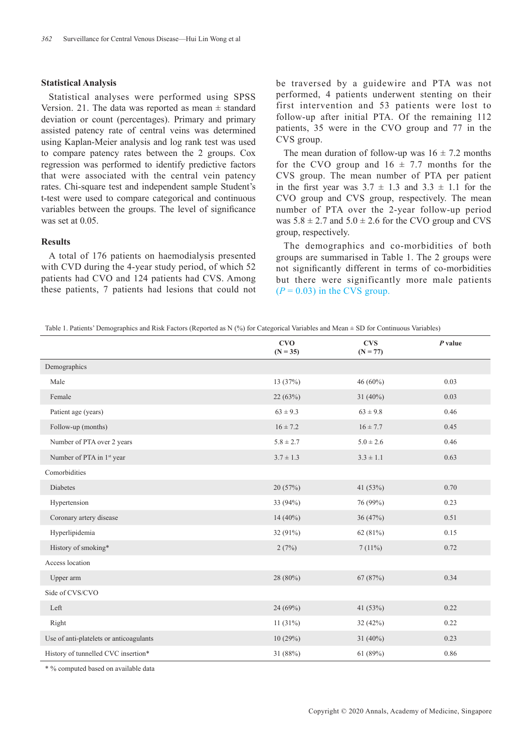#### **Statistical Analysis**

Statistical analyses were performed using SPSS Version. 21. The data was reported as mean  $\pm$  standard deviation or count (percentages). Primary and primary assisted patency rate of central veins was determined using Kaplan-Meier analysis and log rank test was used to compare patency rates between the 2 groups. Cox regression was performed to identify predictive factors that were associated with the central vein patency rates. Chi-square test and independent sample Student's t-test were used to compare categorical and continuous variables between the groups. The level of significance was set at 0.05.

#### **Results**

A total of 176 patients on haemodialysis presented with CVD during the 4-year study period, of which 52 patients had CVO and 124 patients had CVS. Among these patients, 7 patients had lesions that could not be traversed by a guidewire and PTA was not performed, 4 patients underwent stenting on their first intervention and 53 patients were lost to follow-up after initial PTA. Of the remaining 112 patients, 35 were in the CVO group and 77 in the CVS group.

The mean duration of follow-up was  $16 \pm 7.2$  months for the CVO group and  $16 \pm 7.7$  months for the CVS group. The mean number of PTA per patient in the first year was  $3.7 \pm 1.3$  and  $3.3 \pm 1.1$  for the CVO group and CVS group, respectively. The mean number of PTA over the 2-year follow-up period was  $5.8 \pm 2.7$  and  $5.0 \pm 2.6$  for the CVO group and CVS group, respectively.

The demographics and co-morbidities of both groups are summarised in Table 1. The 2 groups were not significantly different in terms of co-morbidities but there were significantly more male patients  $(P = 0.03)$  in the CVS group.

Table 1. Patients' Demographics and Risk Factors (Reported as N (%) for Categorical Variables and Mean  $\pm$  SD for Continuous Variables)

|                                         | CVO<br>$(N = 35)$ | <b>CVS</b><br>$(N = 77)$ | $P$ value |
|-----------------------------------------|-------------------|--------------------------|-----------|
| Demographics                            |                   |                          |           |
| Male                                    | 13(37%)           | 46 $(60\%)$              | 0.03      |
| Female                                  | 22(63%)           | $31(40\%)$               | 0.03      |
| Patient age (years)                     | $63 \pm 9.3$      | $63 \pm 9.8$             | 0.46      |
| Follow-up (months)                      | $16 \pm 7.2$      | $16 \pm 7.7$             | 0.45      |
| Number of PTA over 2 years              | $5.8 \pm 2.7$     | $5.0 \pm 2.6$            | 0.46      |
| Number of PTA in 1 <sup>st</sup> year   | $3.7 \pm 1.3$     | $3.3 \pm 1.1$            | 0.63      |
| Comorbidities                           |                   |                          |           |
| Diabetes                                | 20(57%)           | 41 $(53%)$               | 0.70      |
| Hypertension                            | 33 (94%)          | 76 (99%)                 | 0.23      |
| Coronary artery disease                 | 14 (40%)          | 36 (47%)                 | 0.51      |
| Hyperlipidemia                          | 32 (91%)          | 62 (81%)                 | 0.15      |
| History of smoking*                     | 2(7%)             | 7(11%)                   | 0.72      |
| Access location                         |                   |                          |           |
| Upper arm                               | $28(80\%)$        | 67(87%)                  | 0.34      |
| Side of CVS/CVO                         |                   |                          |           |
| Left                                    | 24(69%)           | 41 (53%)                 | 0.22      |
| Right                                   | 11(31%)           | 32(42%)                  | 0.22      |
| Use of anti-platelets or anticoagulants | 10(29%)           | 31 $(40\%)$              | 0.23      |
| History of tunnelled CVC insertion*     | 31 (88%)          | 61(89%)                  | 0.86      |

\* % computed based on available data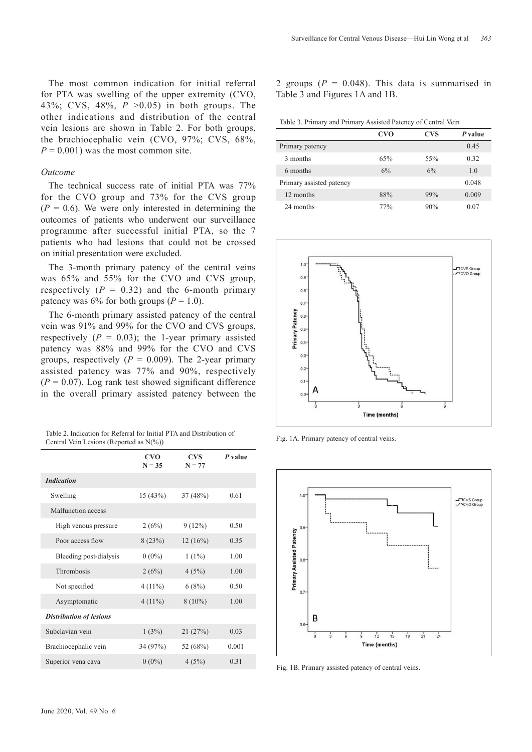The most common indication for initial referral for PTA was swelling of the upper extremity (CVO, 43%; CVS, 48%, *P* >0.05) in both groups. The other indications and distribution of the central vein lesions are shown in Table 2. For both groups, the brachiocephalic vein (CVO, 97%; CVS, 68%,  $P = 0.001$ ) was the most common site.

### *Outcome*

The technical success rate of initial PTA was 77% for the CVO group and 73% for the CVS group  $(P = 0.6)$ . We were only interested in determining the outcomes of patients who underwent our surveillance programme after successful initial PTA, so the 7 patients who had lesions that could not be crossed on initial presentation were excluded.

The 3-month primary patency of the central veins was 65% and 55% for the CVO and CVS group, respectively  $(P = 0.32)$  and the 6-month primary patency was  $6\%$  for both groups ( $P = 1.0$ ).

The 6-month primary assisted patency of the central vein was 91% and 99% for the CVO and CVS groups, respectively  $(P = 0.03)$ ; the 1-year primary assisted patency was 88% and 99% for the CVO and CVS groups, respectively  $(P = 0.009)$ . The 2-year primary assisted patency was 77% and 90%, respectively  $(P = 0.07)$ . Log rank test showed significant difference in the overall primary assisted patency between the

| Table 2. Indication for Referral for Initial PTA and Distribution of |  |
|----------------------------------------------------------------------|--|
| Central Vein Lesions (Reported as $N(\%)$ )                          |  |

|                                | <b>CVO</b><br>$N = 35$ | <b>CVS</b><br>$N = 77$ | $P$ value |
|--------------------------------|------------------------|------------------------|-----------|
| <b>Indication</b>              |                        |                        |           |
| Swelling                       | 15(43%)                | 37(48%)                | 0.61      |
| Malfunction access             |                        |                        |           |
| High venous pressure           | 2(6%)                  | 9(12%)                 | 0.50      |
| Poor access flow               | 8(23%)                 | 12(16%)                | 0.35      |
| Bleeding post-dialysis         | $0(0\%)$               | $1(1\%)$               | 1.00      |
| Thrombosis                     | 2(6%)                  | 4(5%)                  | 1.00      |
| Not specified                  | $4(11\%)$              | 6(8%)                  | 0.50      |
| Asymptomatic                   | $4(11\%)$              | $8(10\%)$              | 1.00      |
| <b>Distribution of lesions</b> |                        |                        |           |
| Subclavian vein                | 1(3%)                  | 21(27%)                | 0.03      |
| Brachiocephalic vein           | 34 (97%)               | 52 (68%)               | 0.001     |
| Superior vena cava             | $0(0\%)$               | 4(5%)                  | 0.31      |
|                                |                        |                        |           |

2 groups  $(P = 0.048)$ . This data is summarised in Table 3 and Figures 1A and 1B.

Table 3. Primary and Primary Assisted Patency of Central Vein

|                          | <b>CVO</b> | <b>CVS</b> | P value |
|--------------------------|------------|------------|---------|
| Primary patency          |            |            | 0.45    |
| 3 months                 | 65%        | 55%        | 0.32    |
| 6 months                 | 6%         | 6%         | 1.0     |
| Primary assisted patency |            |            | 0.048   |
| 12 months                | 88%        | 99%        | 0.009   |
| 24 months                | 77%        | 90%        | 0.07    |



Fig. 1A. Primary patency of central veins.



Fig. 1B. Primary assisted patency of central veins.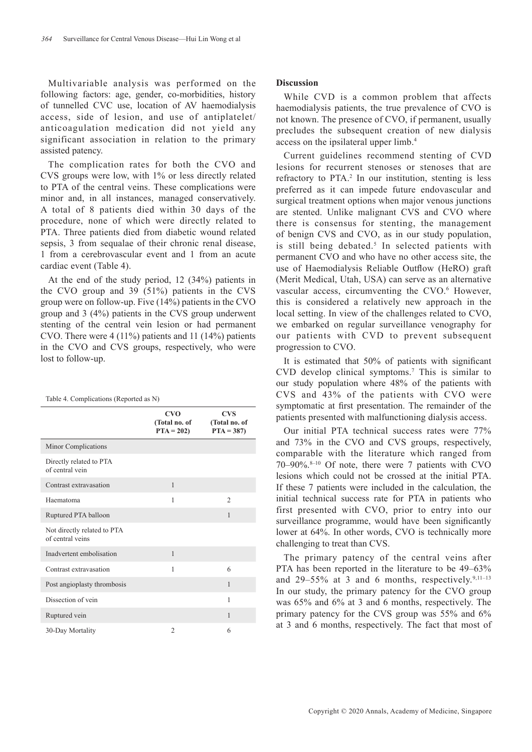Multivariable analysis was performed on the following factors: age, gender, co-morbidities, history of tunnelled CVC use, location of AV haemodialysis access, side of lesion, and use of antiplatelet/ anticoagulation medication did not yield any significant association in relation to the primary assisted patency.

The complication rates for both the CVO and CVS groups were low, with 1% or less directly related to PTA of the central veins. These complications were minor and, in all instances, managed conservatively. A total of 8 patients died within 30 days of the procedure, none of which were directly related to PTA. Three patients died from diabetic wound related sepsis, 3 from sequalae of their chronic renal disease, 1 from a cerebrovascular event and 1 from an acute cardiac event (Table 4).

At the end of the study period, 12 (34%) patients in the CVO group and 39 (51%) patients in the CVS group were on follow-up. Five (14%) patients in the CVO group and 3 (4%) patients in the CVS group underwent stenting of the central vein lesion or had permanent CVO. There were 4 (11%) patients and 11 (14%) patients in the CVO and CVS groups, respectively, who were lost to follow-up.

|                                                 | <b>CVO</b><br>(Total no. of<br>$PTA = 202$ | <b>CVS</b><br>(Total no. of<br>$PTA = 387$ |
|-------------------------------------------------|--------------------------------------------|--------------------------------------------|
| Minor Complications                             |                                            |                                            |
| Directly related to PTA<br>of central vein      |                                            |                                            |
| Contrast extravasation                          | 1                                          |                                            |
| Haematoma                                       | 1                                          | $\mathfrak{D}$                             |
| Ruptured PTA balloon                            |                                            | 1                                          |
| Not directly related to PTA<br>of central veins |                                            |                                            |
| Inadvertent embolisation                        | 1                                          |                                            |
| Contrast extravasation                          | 1                                          | 6                                          |
| Post angioplasty thrombosis                     |                                            | $\mathbf{1}$                               |
| Dissection of vein                              |                                            | 1                                          |
| Ruptured vein                                   |                                            | $\mathbf{1}$                               |
| 30-Day Mortality                                | $\overline{2}$                             | 6                                          |

### **Discussion**

While CVD is a common problem that affects haemodialysis patients, the true prevalence of CVO is not known. The presence of CVO, if permanent, usually precludes the subsequent creation of new dialysis access on the ipsilateral upper limb.4

Current guidelines recommend stenting of CVD lesions for recurrent stenoses or stenoses that are refractory to PTA.<sup>2</sup> In our institution, stenting is less preferred as it can impede future endovascular and surgical treatment options when major venous junctions are stented. Unlike malignant CVS and CVO where there is consensus for stenting, the management of benign CVS and CVO, as in our study population, is still being debated.<sup>5</sup> In selected patients with permanent CVO and who have no other access site, the use of Haemodialysis Reliable Outflow (HeRO) graft (Merit Medical, Utah, USA) can serve as an alternative vascular access, circumventing the CVO.<sup>6</sup> However, this is considered a relatively new approach in the local setting. In view of the challenges related to CVO, we embarked on regular surveillance venography for our patients with CVD to prevent subsequent progression to CVO.

It is estimated that 50% of patients with significant CVD develop clinical symptoms.7 This is similar to our study population where 48% of the patients with CVS and 43% of the patients with CVO were symptomatic at first presentation. The remainder of the patients presented with malfunctioning dialysis access.

Our initial PTA technical success rates were 77% and 73% in the CVO and CVS groups, respectively, comparable with the literature which ranged from  $70-90\%$ .<sup>8-10</sup> Of note, there were 7 patients with CVO lesions which could not be crossed at the initial PTA. If these 7 patients were included in the calculation, the initial technical success rate for PTA in patients who first presented with CVO, prior to entry into our surveillance programme, would have been significantly lower at 64%. In other words, CVO is technically more challenging to treat than CVS.

The primary patency of the central veins after PTA has been reported in the literature to be 49–63% and  $29-55\%$  at 3 and 6 months, respectively.<sup>9,11-13</sup> In our study, the primary patency for the CVO group was 65% and 6% at 3 and 6 months, respectively. The primary patency for the CVS group was 55% and 6% at 3 and 6 months, respectively. The fact that most of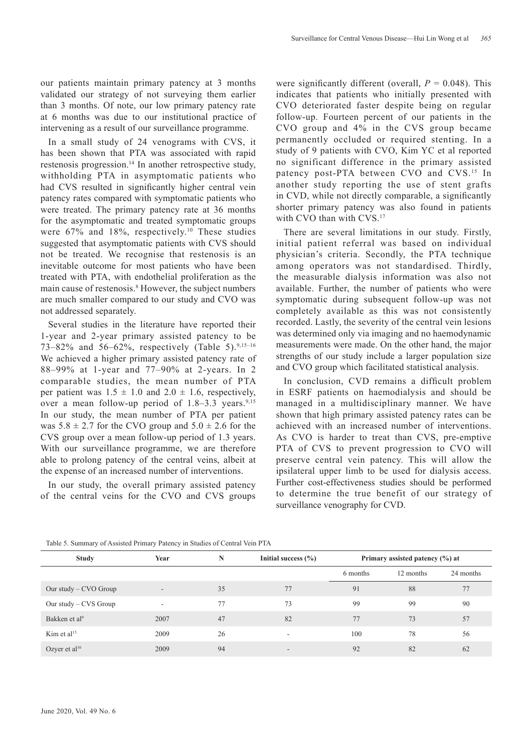our patients maintain primary patency at 3 months validated our strategy of not surveying them earlier than 3 months. Of note, our low primary patency rate at 6 months was due to our institutional practice of intervening as a result of our surveillance programme.

In a small study of 24 venograms with CVS, it has been shown that PTA was associated with rapid restenosis progression.<sup>14</sup> In another retrospective study, withholding PTA in asymptomatic patients who had CVS resulted in significantly higher central vein patency rates compared with symptomatic patients who were treated. The primary patency rate at 36 months for the asymptomatic and treated symptomatic groups were  $67\%$  and  $18\%$ , respectively.<sup>10</sup> These studies suggested that asymptomatic patients with CVS should not be treated. We recognise that restenosis is an inevitable outcome for most patients who have been treated with PTA, with endothelial proliferation as the main cause of restenosis.<sup>8</sup> However, the subject numbers are much smaller compared to our study and CVO was not addressed separately.

Several studies in the literature have reported their 1-year and 2-year primary assisted patency to be 73–82% and 56–62%, respectively (Table 5).<sup>9,15–16</sup> We achieved a higher primary assisted patency rate of 88–99% at 1-year and 77–90% at 2-years. In 2 comparable studies, the mean number of PTA per patient was  $1.5 \pm 1.0$  and  $2.0 \pm 1.6$ , respectively, over a mean follow-up period of  $1.8-3.3$  years.<sup>9,15</sup> In our study, the mean number of PTA per patient was  $5.8 \pm 2.7$  for the CVO group and  $5.0 \pm 2.6$  for the CVS group over a mean follow-up period of 1.3 years. With our surveillance programme, we are therefore able to prolong patency of the central veins, albeit at the expense of an increased number of interventions.

In our study, the overall primary assisted patency of the central veins for the CVO and CVS groups

were significantly different (overall,  $P = 0.048$ ). This indicates that patients who initially presented with CVO deteriorated faster despite being on regular follow-up. Fourteen percent of our patients in the CVO group and 4% in the CVS group became permanently occluded or required stenting. In a study of 9 patients with CVO, Kim YC et al reported no significant difference in the primary assisted patency post-PTA between CVO and CVS.<sup>15</sup> In another study reporting the use of stent grafts in CVD, while not directly comparable, a significantly shorter primary patency was also found in patients with CVO than with CVS.<sup>17</sup>

There are several limitations in our study. Firstly, initial patient referral was based on individual physician's criteria. Secondly, the PTA technique among operators was not standardised. Thirdly, the measurable dialysis information was also not available. Further, the number of patients who were symptomatic during subsequent follow-up was not completely available as this was not consistently recorded. Lastly, the severity of the central vein lesions was determined only via imaging and no haemodynamic measurements were made. On the other hand, the major strengths of our study include a larger population size and CVO group which facilitated statistical analysis.

In conclusion, CVD remains a difficult problem in ESRF patients on haemodialysis and should be managed in a multidisciplinary manner. We have shown that high primary assisted patency rates can be achieved with an increased number of interventions. As CVO is harder to treat than CVS, pre-emptive PTA of CVS to prevent progression to CVO will preserve central vein patency. This will allow the ipsilateral upper limb to be used for dialysis access. Further cost-effectiveness studies should be performed to determine the true benefit of our strategy of surveillance venography for CVD.

| <b>Study</b>              | Year                     | N  | Initial success $(\% )$  | Primary assisted patency (%) at |           |           |
|---------------------------|--------------------------|----|--------------------------|---------------------------------|-----------|-----------|
|                           |                          |    |                          | 6 months                        | 12 months | 24 months |
| Our study $-$ CVO Group   | $\overline{\phantom{a}}$ | 35 | 77                       | 91                              | 88        | 77        |
| Our study $-$ CVS Group   | $\overline{\phantom{a}}$ | 77 | 73                       | 99                              | 99        | 90        |
| Bakken et al <sup>9</sup> | 2007                     | 47 | 82                       | 77                              | 73        | 57        |
| Kim et al $15$            | 2009                     | 26 | $\overline{\phantom{a}}$ | 100                             | 78        | 56        |
| Ozyer et al <sup>16</sup> | 2009                     | 94 | -                        | 92                              | 82        | 62        |

Table 5. Summary of Assisted Primary Patency in Studies of Central Vein PTA